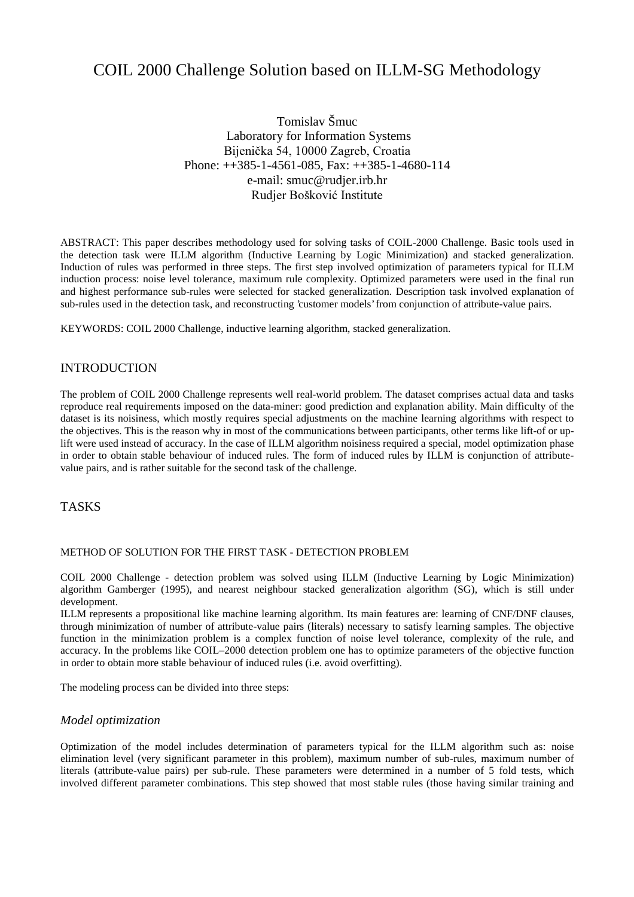# COIL 2000 Challenge Solution based on ILLM-SG Methodology

Tomislav Šmuc Laboratory for Information Systems Bijenička 54, 10000 Zagreb, Croatia Phone: ++385-1-4561-085, Fax: ++385-1-4680-114 e-mail: smuc@rudjer.irb.hr Rudjer Bošković Institute

ABSTRACT: This paper describes methodology used for solving tasks of COIL-2000 Challenge. Basic tools used in the detection task were ILLM algorithm (Inductive Learning by Logic Minimization) and stacked generalization. Induction of rules was performed in three steps. The first step involved optimization of parameters typical for ILLM induction process: noise level tolerance, maximum rule complexity. Optimized parameters were used in the final run and highest performance sub-rules were selected for stacked generalization. Description task involved explanation of sub-rules used in the detection task, and reconstructing 'customer models' from conjunction of attribute-value pairs.

KEYWORDS: COIL 2000 Challenge, inductive learning algorithm, stacked generalization.

# INTRODUCTION

The problem of COIL 2000 Challenge represents well real-world problem. The dataset comprises actual data and tasks reproduce real requirements imposed on the data-miner: good prediction and explanation ability. Main difficulty of the dataset is its noisiness, which mostly requires special adjustments on the machine learning algorithms with respect to the objectives. This is the reason why in most of the communications between participants, other terms like lift-of or uplift were used instead of accuracy. In the case of ILLM algorithm noisiness required a special, model optimization phase in order to obtain stable behaviour of induced rules. The form of induced rules by ILLM is conjunction of attributevalue pairs, and is rather suitable for the second task of the challenge.

# TASKS

#### METHOD OF SOLUTION FOR THE FIRST TASK - DETECTION PROBLEM

COIL 2000 Challenge - detection problem was solved using ILLM (Inductive Learning by Logic Minimization) algorithm Gamberger (1995), and nearest neighbour stacked generalization algorithm (SG), which is still under development.

ILLM represents a propositional like machine learning algorithm. Its main features are: learning of CNF/DNF clauses, through minimization of number of attribute-value pairs (literals) necessary to satisfy learning samples. The objective function in the minimization problem is a complex function of noise level tolerance, complexity of the rule, and accuracy. In the problems like COIL–2000 detection problem one has to optimize parameters of the objective function in order to obtain more stable behaviour of induced rules (i.e. avoid overfitting).

The modeling process can be divided into three steps:

#### *Model optimization*

Optimization of the model includes determination of parameters typical for the ILLM algorithm such as: noise elimination level (very significant parameter in this problem), maximum number of sub-rules, maximum number of literals (attribute-value pairs) per sub-rule. These parameters were determined in a number of 5 fold tests, which involved different parameter combinations. This step showed that most stable rules (those having similar training and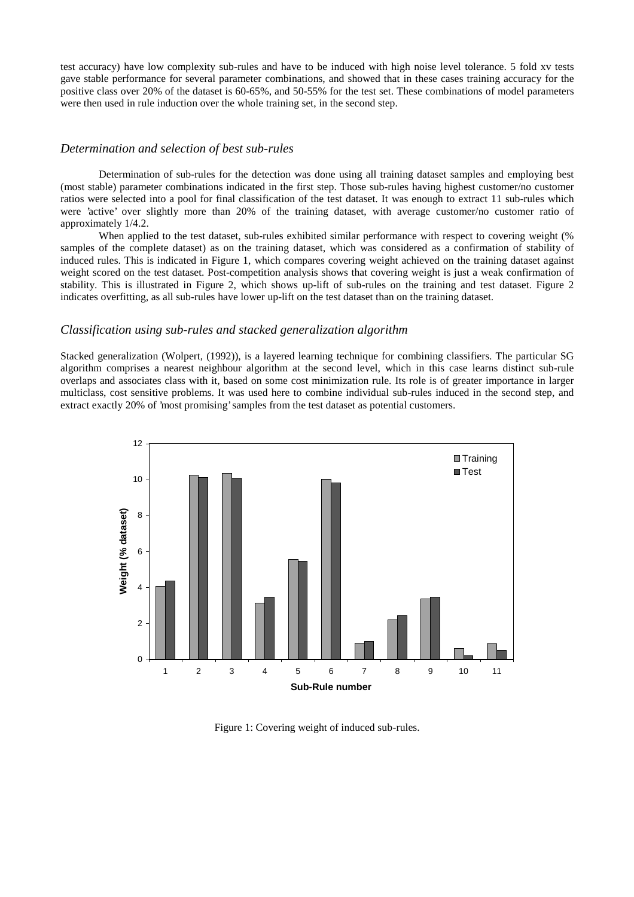test accuracy) have low complexity sub-rules and have to be induced with high noise level tolerance. 5 fold xv tests gave stable performance for several parameter combinations, and showed that in these cases training accuracy for the positive class over 20% of the dataset is 60-65%, and 50-55% for the test set. These combinations of model parameters were then used in rule induction over the whole training set, in the second step.

### *Determination and selection of best sub-rules*

Determination of sub-rules for the detection was done using all training dataset samples and employing best (most stable) parameter combinations indicated in the first step. Those sub-rules having highest customer/no customer ratios were selected into a pool for final classification of the test dataset. It was enough to extract 11 sub-rules which were 'active' over slightly more than 20% of the training dataset, with average customer/no customer ratio of approximately 1/4.2.

When applied to the test dataset, sub-rules exhibited similar performance with respect to covering weight (%) samples of the complete dataset) as on the training dataset, which was considered as a confirmation of stability of induced rules. This is indicated in Figure 1, which compares covering weight achieved on the training dataset against weight scored on the test dataset. Post-competition analysis shows that covering weight is just a weak confirmation of stability. This is illustrated in Figure 2, which shows up-lift of sub-rules on the training and test dataset. Figure 2 indicates overfitting, as all sub-rules have lower up-lift on the test dataset than on the training dataset.

## *Classification using sub-rules and stacked generalization algorithm*

Stacked generalization (Wolpert, (1992)), is a layered learning technique for combining classifiers. The particular SG algorithm comprises a nearest neighbour algorithm at the second level, which in this case learns distinct sub-rule overlaps and associates class with it, based on some cost minimization rule. Its role is of greater importance in larger multiclass, cost sensitive problems. It was used here to combine individual sub-rules induced in the second step, and extract exactly 20% of 'most promising' samples from the test dataset as potential customers.



Figure 1: Covering weight of induced sub-rules.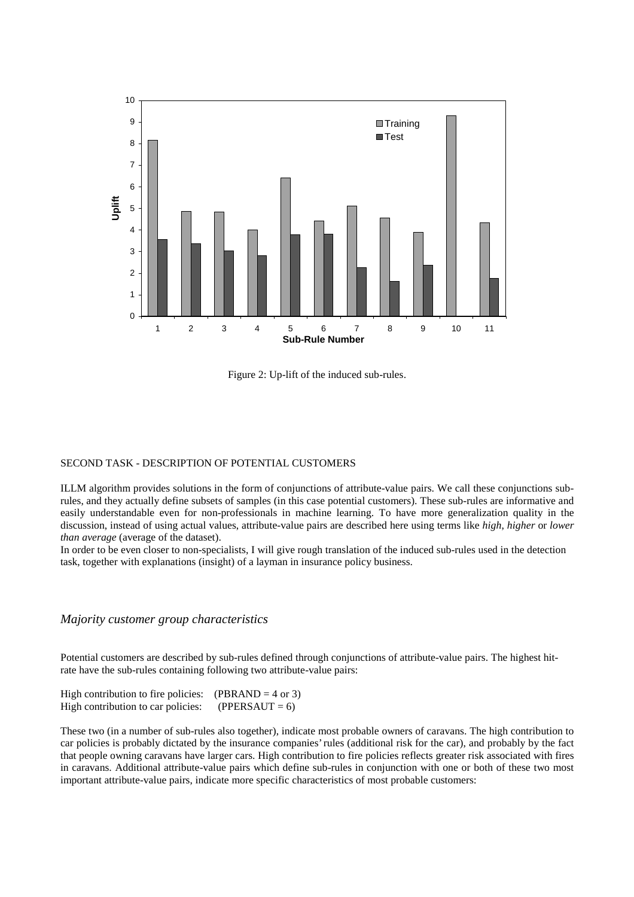

Figure 2: Up-lift of the induced sub-rules.

#### SECOND TASK - DESCRIPTION OF POTENTIAL CUSTOMERS

ILLM algorithm provides solutions in the form of conjunctions of attribute-value pairs. We call these conjunctions subrules, and they actually define subsets of samples (in this case potential customers). These sub-rules are informative and easily understandable even for non-professionals in machine learning. To have more generalization quality in the discussion, instead of using actual values, attribute-value pairs are described here using terms like *high*, *higher* or *lower than average* (average of the dataset).

In order to be even closer to non-specialists, I will give rough translation of the induced sub-rules used in the detection task, together with explanations (insight) of a layman in insurance policy business.

#### *Majority customer group characteristics*

Potential customers are described by sub-rules defined through conjunctions of attribute-value pairs. The highest hitrate have the sub-rules containing following two attribute-value pairs:

| High contribution to fire policies: | $(PBRAND = 4 \text{ or } 3)$ |
|-------------------------------------|------------------------------|
| High contribution to car policies:  | $(PPERSAUT = 6)$             |

These two (in a number of sub-rules also together), indicate most probable owners of caravans. The high contribution to car policies is probably dictated by the insurance companies' rules (additional risk for the car), and probably by the fact that people owning caravans have larger cars. High contribution to fire policies reflects greater risk associated with fires in caravans. Additional attribute-value pairs which define sub-rules in conjunction with one or both of these two most important attribute-value pairs, indicate more specific characteristics of most probable customers: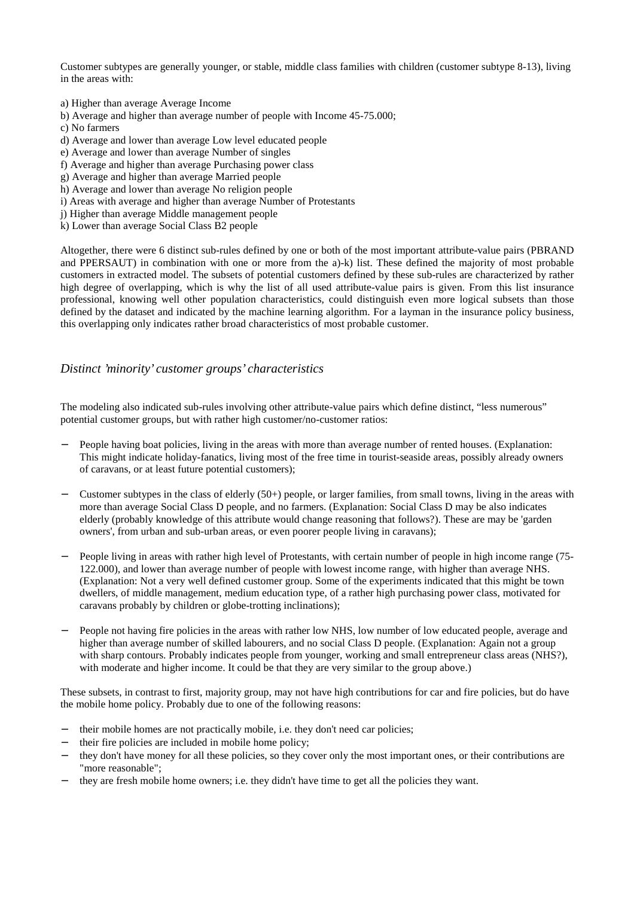Customer subtypes are generally younger, or stable, middle class families with children (customer subtype 8-13), living in the areas with:

- a) Higher than average Average Income
- b) Average and higher than average number of people with Income 45-75.000;
- c) No farmers
- d) Average and lower than average Low level educated people
- e) Average and lower than average Number of singles
- f) Average and higher than average Purchasing power class
- g) Average and higher than average Married people
- h) Average and lower than average No religion people
- i) Areas with average and higher than average Number of Protestants
- j) Higher than average Middle management people
- k) Lower than average Social Class B2 people

Altogether, there were 6 distinct sub-rules defined by one or both of the most important attribute-value pairs (PBRAND and PPERSAUT) in combination with one or more from the a)-k) list. These defined the majority of most probable customers in extracted model. The subsets of potential customers defined by these sub-rules are characterized by rather high degree of overlapping, which is why the list of all used attribute-value pairs is given. From this list insurance professional, knowing well other population characteristics, could distinguish even more logical subsets than those defined by the dataset and indicated by the machine learning algorithm. For a layman in the insurance policy business, this overlapping only indicates rather broad characteristics of most probable customer.

## *Distinct 'minority' customer groups' characteristics*

The modeling also indicated sub-rules involving other attribute-value pairs which define distinct, "less numerous" potential customer groups, but with rather high customer/no-customer ratios:

- People having boat policies, living in the areas with more than average number of rented houses. (Explanation: This might indicate holiday-fanatics, living most of the free time in tourist-seaside areas, possibly already owners of caravans, or at least future potential customers);
- − Customer subtypes in the class of elderly (50+) people, or larger families, from small towns, living in the areas with more than average Social Class D people, and no farmers. (Explanation: Social Class D may be also indicates elderly (probably knowledge of this attribute would change reasoning that follows?). These are may be 'garden owners', from urban and sub-urban areas, or even poorer people living in caravans);
- − People living in areas with rather high level of Protestants, with certain number of people in high income range (75- 122.000), and lower than average number of people with lowest income range, with higher than average NHS. (Explanation: Not a very well defined customer group. Some of the experiments indicated that this might be town dwellers, of middle management, medium education type, of a rather high purchasing power class, motivated for caravans probably by children or globe-trotting inclinations);
- People not having fire policies in the areas with rather low NHS, low number of low educated people, average and higher than average number of skilled labourers, and no social Class D people. (Explanation: Again not a group with sharp contours. Probably indicates people from younger, working and small entrepreneur class areas (NHS?), with moderate and higher income. It could be that they are very similar to the group above.)

These subsets, in contrast to first, majority group, may not have high contributions for car and fire policies, but do have the mobile home policy. Probably due to one of the following reasons:

- their mobile homes are not practically mobile, i.e. they don't need car policies;
- their fire policies are included in mobile home policy;
- − they don't have money for all these policies, so they cover only the most important ones, or their contributions are "more reasonable";
- they are fresh mobile home owners; i.e. they didn't have time to get all the policies they want.